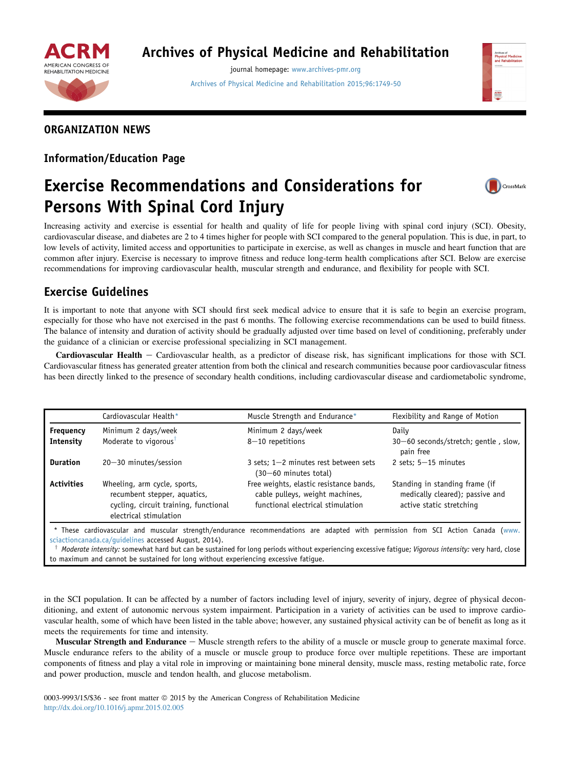

## Archives of Physical Medicine and Rehabilitation

journal homepage: [www.archives-pmr.org](http://www.archives-pmr.org) [Archives of Physical Medicine and Rehabilitation 2015;96:1749-50](http://dx.doi.org/10.1016/j.apmr.2015.02.005)



## ORGANIZATION NEWS

#### Information/Education Page

# Exercise Recommendations and Considerations for Persons With Spinal Cord Injury



Increasing activity and exercise is essential for health and quality of life for people living with spinal cord injury (SCI). Obesity, cardiovascular disease, and diabetes are 2 to 4 times higher for people with SCI compared to the general population. This is due, in part, to low levels of activity, limited access and opportunities to participate in exercise, as well as changes in muscle and heart function that are common after injury. Exercise is necessary to improve fitness and reduce long-term health complications after SCI. Below are exercise recommendations for improving cardiovascular health, muscular strength and endurance, and flexibility for people with SCI.

## Exercise Guidelines

It is important to note that anyone with SCI should first seek medical advice to ensure that it is safe to begin an exercise program, especially for those who have not exercised in the past 6 months. The following exercise recommendations can be used to build fitness. The balance of intensity and duration of activity should be gradually adjusted over time based on level of conditioning, preferably under the guidance of a clinician or exercise professional specializing in SCI management.

**Cardiovascular Health**  $-$  Cardiovascular health, as a predictor of disease risk, has significant implications for those with SCI. Cardiovascular fitness has generated greater attention from both the clinical and research communities because poor cardiovascular fitness has been directly linked to the presence of secondary health conditions, including cardiovascular disease and cardiometabolic syndrome,

|                   | Cardiovascular Health*                                                                                                          | Muscle Strength and Endurance*                                                                                  | Flexibility and Range of Motion                                                               |
|-------------------|---------------------------------------------------------------------------------------------------------------------------------|-----------------------------------------------------------------------------------------------------------------|-----------------------------------------------------------------------------------------------|
| Frequency         | Minimum 2 days/week                                                                                                             | Minimum 2 days/week                                                                                             | Daily                                                                                         |
| Intensity         | Moderate to vigorous <sup>t</sup>                                                                                               | $8-10$ repetitions                                                                                              | 30-60 seconds/stretch; gentle, slow,<br>pain free                                             |
| <b>Duration</b>   | $20 - 30$ minutes/session                                                                                                       | 3 sets; $1-2$ minutes rest between sets<br>(30-60 minutes total)                                                | 2 sets; $5-15$ minutes                                                                        |
| <b>Activities</b> | Wheeling, arm cycle, sports,<br>recumbent stepper, aquatics,<br>cycling, circuit training, functional<br>electrical stimulation | Free weights, elastic resistance bands,<br>cable pulleys, weight machines,<br>functional electrical stimulation | Standing in standing frame (if<br>medically cleared); passive and<br>active static stretching |

[sciactioncanada.ca/guidelines](http://www.sciactioncanada.ca/guidelines) accessed August, 2014).

Moderate intensity: somewhat hard but can be sustained for long periods without experiencing excessive fatigue; Vigorous intensity: very hard, close to maximum and cannot be sustained for long without experiencing excessive fatigue.

in the SCI population. It can be affected by a number of factors including level of injury, severity of injury, degree of physical deconditioning, and extent of autonomic nervous system impairment. Participation in a variety of activities can be used to improve cardiovascular health, some of which have been listed in the table above; however, any sustained physical activity can be of benefit as long as it meets the requirements for time and intensity.

**Muscular Strength and Endurance**  $-$  Muscle strength refers to the ability of a muscle or muscle group to generate maximal force. Muscle endurance refers to the ability of a muscle or muscle group to produce force over multiple repetitions. These are important components of fitness and play a vital role in improving or maintaining bone mineral density, muscle mass, resting metabolic rate, force and power production, muscle and tendon health, and glucose metabolism.